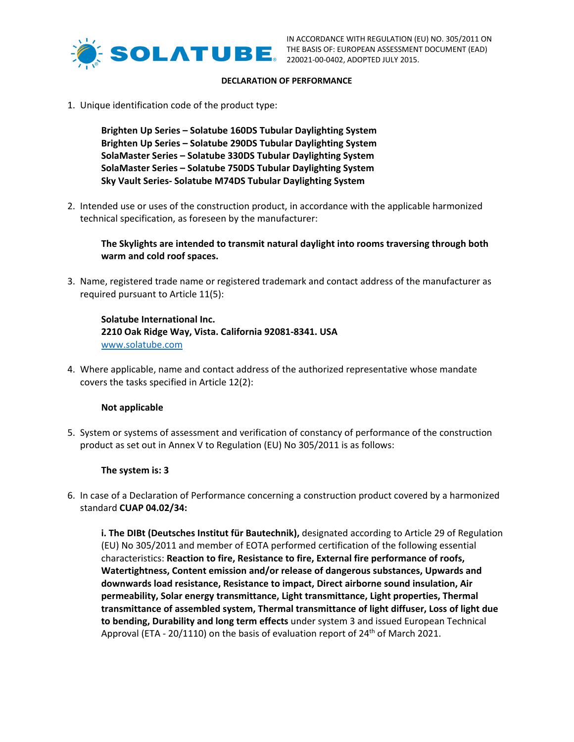

#### **DECLARATION OF PERFORMANCE**

1. Unique identification code of the product type:

**Brighten Up Series – Solatube 160DS Tubular Daylighting System Brighten Up Series – Solatube 290DS Tubular Daylighting System SolaMaster Series – Solatube 330DS Tubular Daylighting System SolaMaster Series – Solatube 750DS Tubular Daylighting System Sky Vault Series‐ Solatube M74DS Tubular Daylighting System**

2. Intended use or uses of the construction product, in accordance with the applicable harmonized technical specification, as foreseen by the manufacturer:

**The Skylights are intended to transmit natural daylight into rooms traversing through both warm and cold roof spaces.** 

3. Name, registered trade name or registered trademark and contact address of the manufacturer as required pursuant to Article 11(5):

**Solatube International Inc. 2210 Oak Ridge Way, Vista. California 92081‐8341. USA** www.solatube.com

4. Where applicable, name and contact address of the authorized representative whose mandate covers the tasks specified in Article 12(2):

## **Not applicable**

5. System or systems of assessment and verification of constancy of performance of the construction product as set out in Annex V to Regulation (EU) No 305/2011 is as follows:

#### **The system is: 3**

6. In case of a Declaration of Performance concerning a construction product covered by a harmonized standard **CUAP 04.02/34:**

**i. The DIBt (Deutsches Institut für Bautechnik),** designated according to Article 29 of Regulation (EU) No 305/2011 and member of EOTA performed certification of the following essential characteristics: **Reaction to fire, Resistance to fire, External fire performance of roofs, Watertightness, Content emission and/or release of dangerous substances, Upwards and downwards load resistance, Resistance to impact, Direct airborne sound insulation, Air permeability, Solar energy transmittance, Light transmittance, Light properties, Thermal transmittance of assembled system, Thermal transmittance of light diffuser, Loss of light due to bending, Durability and long term effects** under system 3 and issued European Technical Approval (ETA - 20/1110) on the basis of evaluation report of 24<sup>th</sup> of March 2021.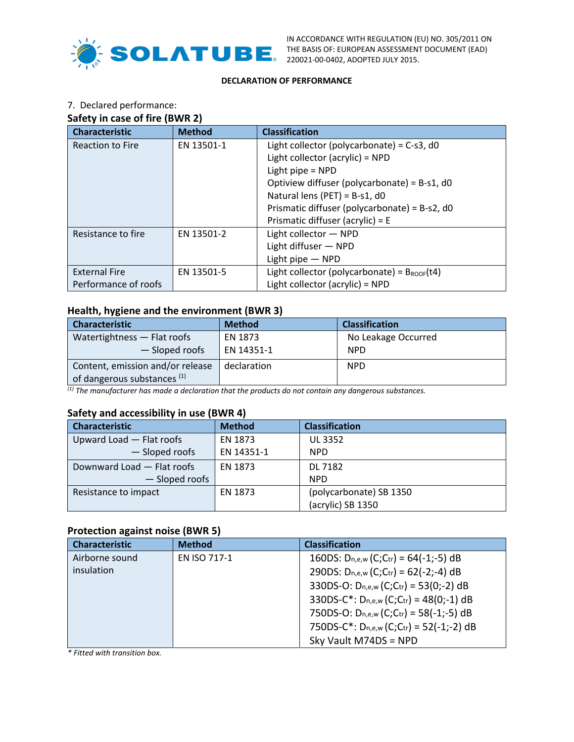

IN ACCORDANCE WITH REGULATION (EU) NO. 305/2011 ON THE BASIS OF: EUROPEAN ASSESSMENT DOCUMENT (EAD) 220021‐00‐0402, ADOPTED JULY 2015.

## **DECLARATION OF PERFORMANCE**

# 7. Declared performance:

# **Safety in case of fire (BWR 2)**

| <b>Characteristic</b>   | <b>Method</b> | <b>Classification</b>                                   |  |
|-------------------------|---------------|---------------------------------------------------------|--|
| <b>Reaction to Fire</b> | EN 13501-1    | Light collector (polycarbonate) = $C$ -s3, d0           |  |
|                         |               | Light collector (acrylic) = NPD                         |  |
|                         |               | Light pipe = NPD                                        |  |
|                         |               | Optiview diffuser (polycarbonate) = B-s1, d0            |  |
|                         |               | Natural lens (PET) = $B-s1$ , d0                        |  |
|                         |               | Prismatic diffuser (polycarbonate) = B-s2, d0           |  |
|                         |               | Prismatic diffuser (acrylic) = E                        |  |
| Resistance to fire      | EN 13501-2    | Light collector - NPD                                   |  |
|                         |               | Light diffuser - NPD                                    |  |
|                         |               | Light pipe $-$ NPD                                      |  |
| <b>External Fire</b>    | EN 13501-5    | Light collector (polycarbonate) = $B_{\text{ROOF}}(t4)$ |  |
| Performance of roofs    |               | Light collector (acrylic) = NPD                         |  |

# **Health, hygiene and the environment (BWR 3)**

| <b>Characteristic</b>                  | <b>Method</b> | <b>Classification</b> |  |
|----------------------------------------|---------------|-----------------------|--|
| Watertightness - Flat roofs            | EN 1873       | No Leakage Occurred   |  |
| - Sloped roofs                         | EN 14351-1    | <b>NPD</b>            |  |
| Content, emission and/or release       | declaration   | <b>NPD</b>            |  |
| of dangerous substances <sup>(1)</sup> |               |                       |  |

*(1) The manufacturer has made a declaration that the products do not contain any dangerous substances.*

## **Safety and accessibility in use (BWR 4)**

| <b>Characteristic</b>      | <b>Method</b> | <b>Classification</b>   |  |
|----------------------------|---------------|-------------------------|--|
| Upward Load - Flat roofs   | EN 1873       | <b>UL 3352</b>          |  |
| - Sloped roofs             | EN 14351-1    | <b>NPD</b>              |  |
| Downward Load - Flat roofs | EN 1873       | DL 7182                 |  |
| - Sloped roofs             |               | <b>NPD</b>              |  |
| Resistance to impact       | EN 1873       | (polycarbonate) SB 1350 |  |
|                            |               | (acrylic) SB 1350       |  |

# **Protection against noise (BWR 5)**

| <b>Characteristic</b> | <b>Method</b> | <b>Classification</b>                       |
|-----------------------|---------------|---------------------------------------------|
| Airborne sound        | EN ISO 717-1  | 160DS: $D_{n,e,w}(C;C_{tr}) = 64(-1;-5)$ dB |
| insulation            |               | 290DS: $D_{n,e,w}(C;C_{tr}) = 62(-2;-4)$ dB |
|                       |               | 330DS-O: $D_{n,e,w}$ (C;Ctr) = 53(0;-2) dB  |
|                       |               | 330DS-C*: $D_{n,e,w}(C;Cr) = 48(0;-1)$ dB   |
|                       |               | 750DS-O: $D_{n,e,w}(C;Cr) = 58(-1;-5)$ dB   |
|                       |               | 750DS-C*: $D_{n,e,w}(C;Cr) = 52(-1;-2) dB$  |
|                       |               | Sky Vault M74DS = NPD                       |

*\* Fitted with transition box.*